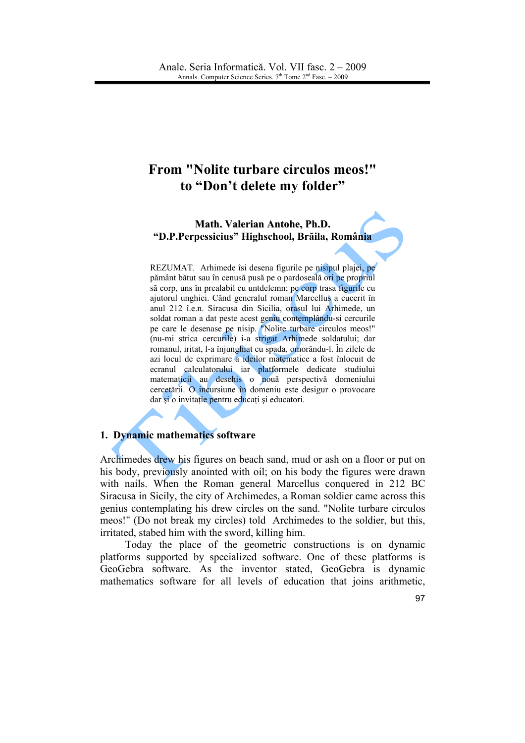# **From "Nolite turbare circulos meos!"** to "Don't delete my folder"

#### Math. Valerian Antohe, Ph.D. "D.P.Perpessicius" Highschool, Brăila, România

REZUMAT. Arhimede îsi desena figurile pe nisipul plajei, pe pământ bătut sau în cenusă pusă pe o pardoseală ori pe propriul să corp, uns în prealabil cu untdelemn; pe corp trasa figurile cu ajutorul unghiei. Când generalul roman Marcellus a cucerit în anul 212 î.e.n. Siracusa din Sicilia, orașul lui Arhimede, un soldat roman a dat peste acest geniu contemplându-si cercurile pe care le desenase pe nisip. "Nolite turbare circulos meos!" (nu-mi strica cercurile) i-a strigat Arhimede soldatului; dar romanul, iritat, l-a înjunghiat cu spada, omorându-l. În zilele de azi locul de exprimare a ideilor matematice a fost înlocuit de ecranul calculatorului iar platformele dedicate studiului matematicii au deschis o nouă perspectivă domeniului cercetării. O incursiune în domeniu este desigur o provocare dar și o invitație pentru educați și educatori.

#### 1. Dynamic mathematics software

Archimedes drew his figures on beach sand, mud or ash on a floor or put on his body, previously anointed with oil; on his body the figures were drawn with nails. When the Roman general Marcellus conquered in 212 BC Siracusa in Sicily, the city of Archimedes, a Roman soldier came across this genius contemplating his drew circles on the sand. "No lite turbare circulos" meos!" (Do not break my circles) told Archimedes to the soldier, but this, irritated, stabed him with the sword, killing him.

Today the place of the geometric constructions is on dynamic platforms supported by specialized software. One of these platforms is GeoGebra software. As the inventor stated, GeoGebra is dynamic mathematics software for all levels of education that joins arithmetic.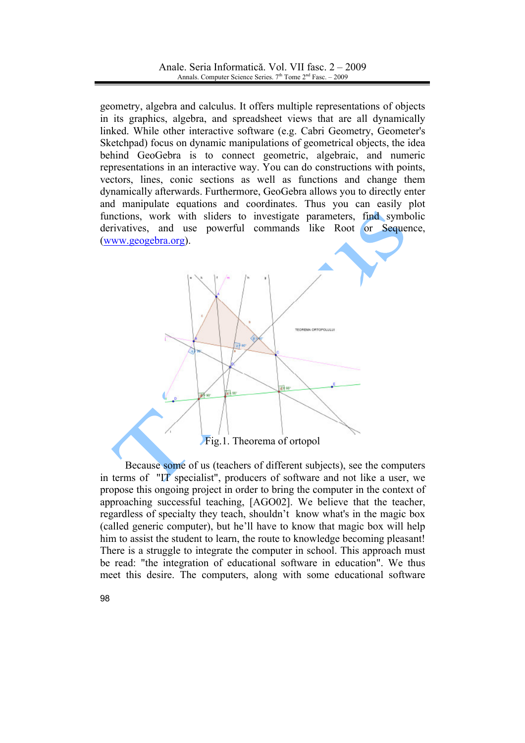geometry, algebra and calculus. It offers multiple representations of objects in its graphics, algebra, and spreadsheet views that are all dynamically linked. While other interactive software (e.g. Cabri Geometry, Geometer's Sketchpad) focus on dynamic manipulations of geometrical objects, the idea behind GeoGebra is to connect geometric, algebraic, and numeric representations in an interactive way. You can do constructions with points, vectors, lines, conic sections as well as functions and change them dynamically afterwards. Furthermore, GeoGebra allows you to directly enter and manipulate equations and coordinates. Thus you can easily plot functions, work with sliders to investigate parameters, find symbolic derivatives, and use powerful commands like Root or Sequence, (www.geogebra.org).

Fig.1. Theorema of ortopol

파비

Because some of us (teachers of different subjects), see the computers in terms of "IT specialist", producers of software and not like a user, we propose this ongoing project in order to bring the computer in the context of approaching successful teaching, [AGO02]. We believe that the teacher, regardless of specialty they teach, shouldn't know what's in the magic box (called generic computer), but he'll have to know that magic box will help him to assist the student to learn, the route to knowledge becoming pleasant! There is a struggle to integrate the computer in school. This approach must be read: "the integration of educational software in education". We thus meet this desire. The computers, along with some educational software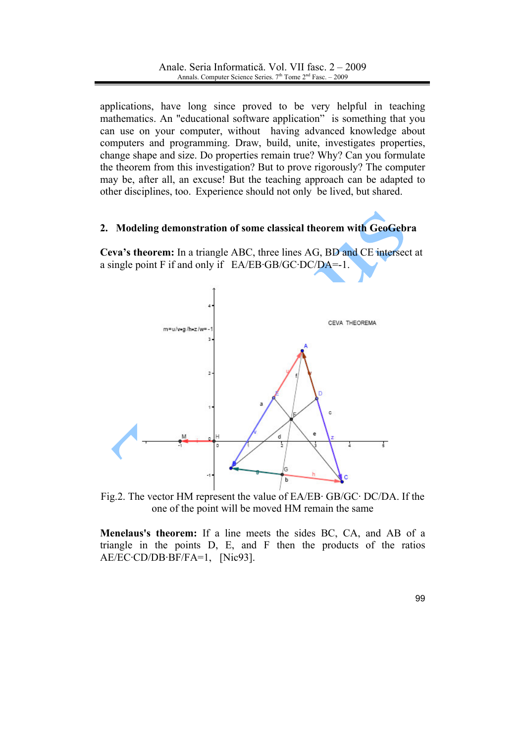applications, have long since proved to be very helpful in teaching mathematics. An "educational software application" is something that you can use on your computer, without having advanced knowledge about computers and programming. Draw, build, unite, investigates properties, change shape and size. Do properties remain true? Why? Can you formulate the theorem from this investigation? But to prove rigorously? The computer may be, after all, an excuse! But the teaching approach can be adapted to other disciplines, too. Experience should not only be lived, but shared.

## 2. Modeling demonstration of some classical theorem with GeoGebra

Ceva's theorem: In a triangle ABC, three lines AG, BD and CE intersect at a single point  $F$  if and only if  $E$ A/EB·GB/GC·DC/DA=-1.



Fig.2. The vector HM represent the value of  $EA/EB \cdot GB/GC \cdot DC/DA$ . If the one of the point will be moved HM remain the same

Menelaus's theorem: If a line meets the sides BC, CA, and AB of a triangle in the points D, E, and F then the products of the ratios  $AE/EC \cdot CD/DB \cdot BF/FA=1$ , [Nic93].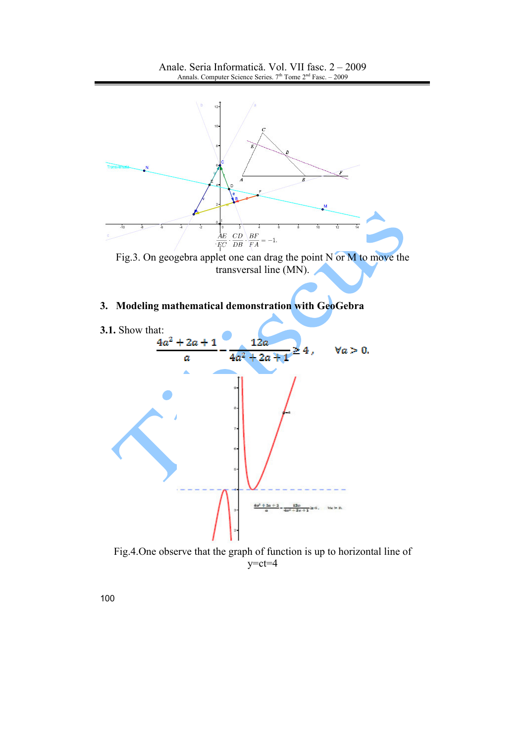

Fig.4. One observe that the graph of function is up to horizontal line of  $y=ct=4$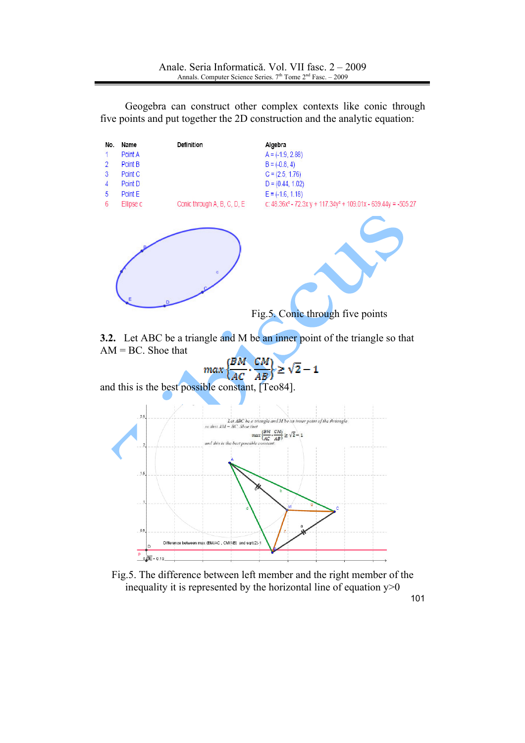

Geogebra can construct other complex contexts like conic through five points and put together the 2D construction and the analytic equation:

3.2. Let ABC be a triangle and M be an inner point of the triangle so that  $AM = BC$ . Shoe that

 $\geq \sqrt{2}-1$ 

 $\frac{CM}{AB}$ and this is the best possible constant, [Teo84].

 $max$ 



Fig.5. The difference between left member and the right member of the inequality it is represented by the horizontal line of equation  $y>0$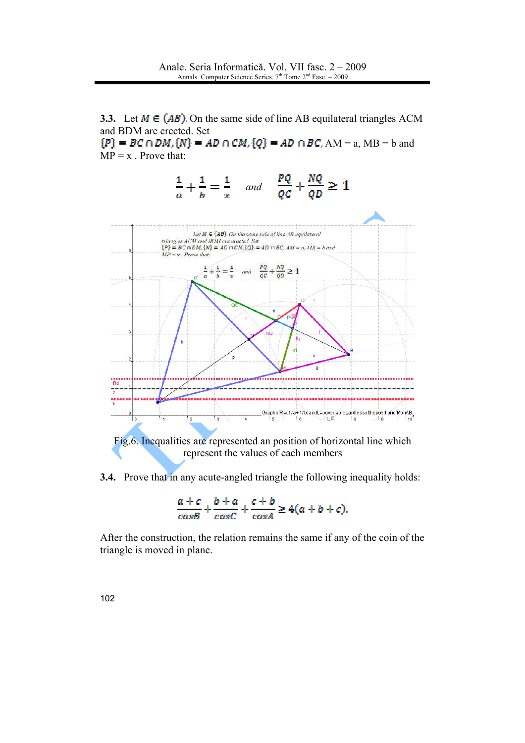3.3. Let  $M \in (AB)$ . On the same side of line AB equilateral triangles ACM and BDM are erected. Set  ${P}$  = BC  $\cap$  DM,  ${N}$  = AD  $\cap$  CM,  ${Q}$  = AD  $\cap$  BC, AM = a, MB = b and  $MP = x$ . Prove that:





3.4. Prove that in any acute-angled triangle the following inequality holds:

$$
\frac{a+c}{cosB} + \frac{b+a}{cosC} + \frac{c+b}{cosA} \ge 4(a+b+c).
$$

After the construction, the relation remains the same if any of the coin of the triangle is moved in plane.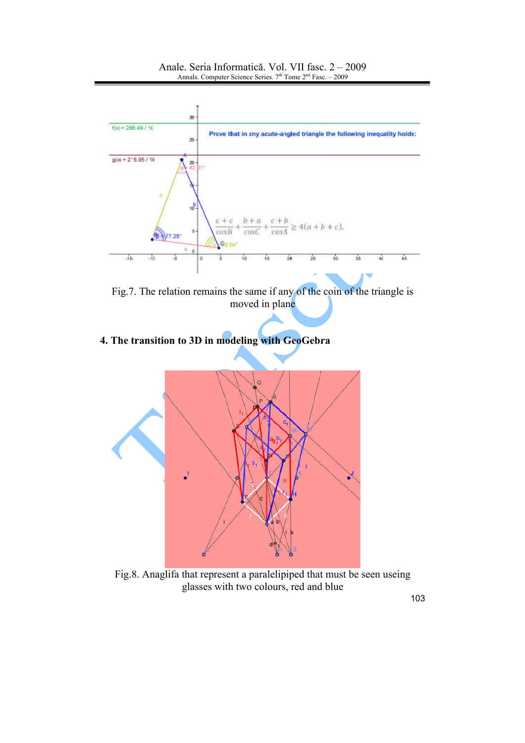

Fig.7. The relation remains the same if any of the coin of the triangle is moved in plane

4. The transition to 3D in modeling with GeoGebra



Fig.8. Anaglifa that represent a paralelipiped that must be seen useing glasses with two colours, red and blue

103